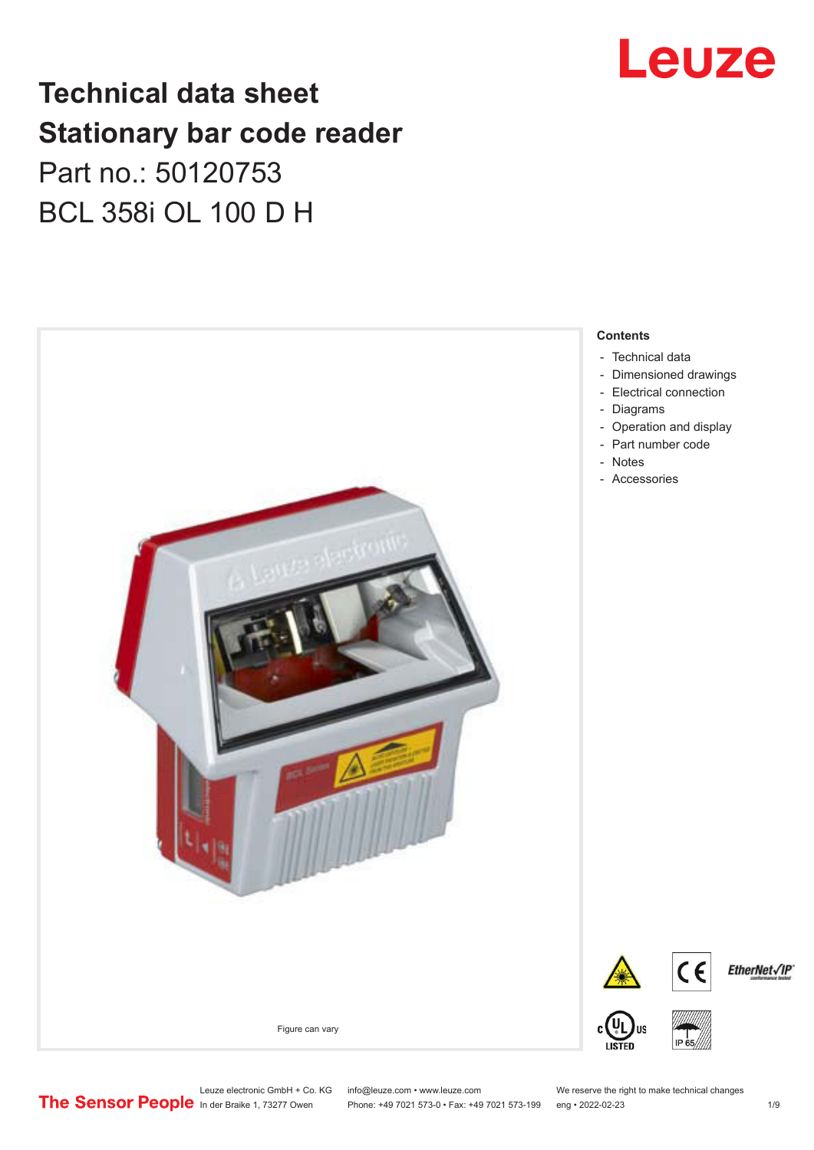## **Technical data sheet Stationary bar code reader** Part no.: 50120753 BCL 358i OL 100 D H



# Leuze

**Contents**

- [Dimensioned drawings](#page-2-0)
- 
- [Operation and display](#page-4-0)

Leuze electronic GmbH + Co. KG info@leuze.com • www.leuze.com We reserve the right to make technical changes<br>
The Sensor People in der Braike 1, 73277 Owen Phone: +49 7021 573-0 • Fax: +49 7021 573-199 eng • 2022-02-23 Phone: +49 7021 573-0 • Fax: +49 7021 573-199 eng • 2022-02-23 1 /9

EtherNet√IP®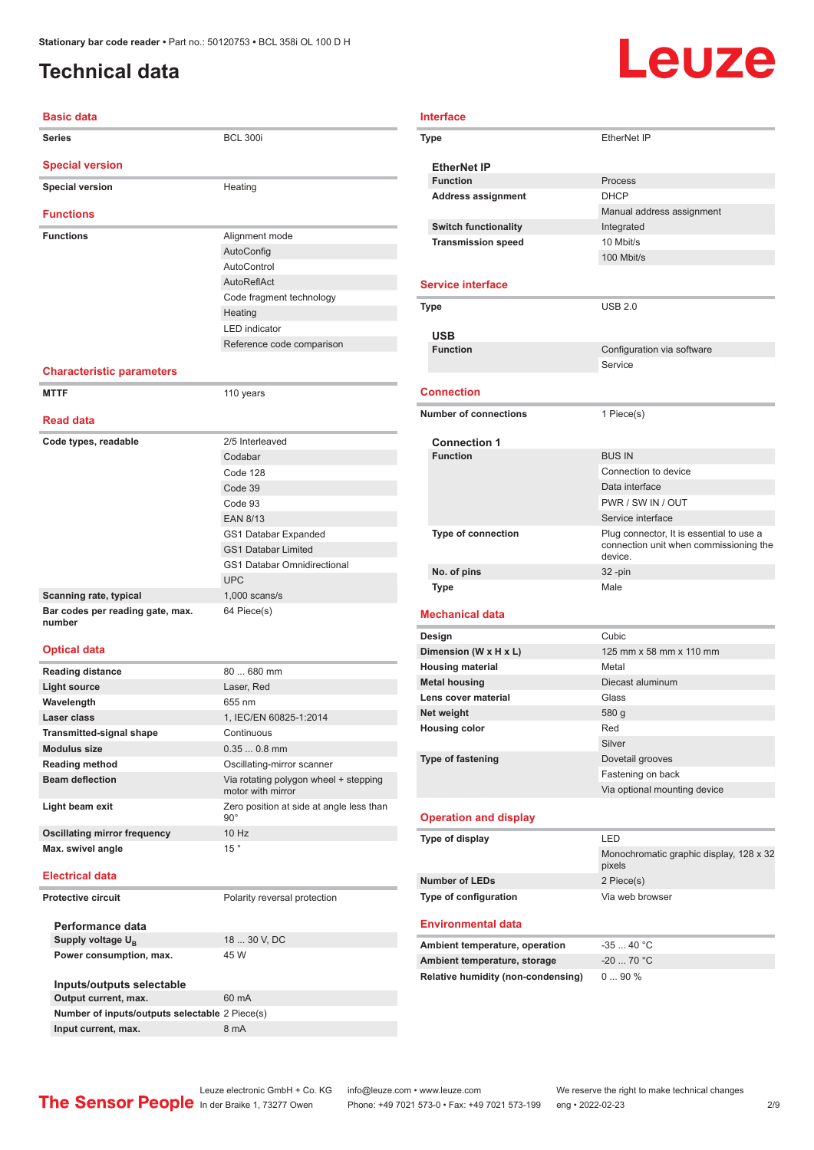## <span id="page-1-0"></span>**Technical data**

### **Basic data Series** BCL 300i **Special version Special version Heating Functions Functions Alignment mode** AutoConfig AutoControl AutoReflAct Code fragment technology Heating LED indicator Reference code comparison **Characteristic parameters MTTF** 110 years **Read data Code types, readable** 2/5 Interleaved Codabar Code 128 Code 39 Code 93 EAN 8/13 GS1 Databar Expanded GS1 Databar Limited GS1 Databar Omnidirectional

|                                            | UPC.            |
|--------------------------------------------|-----------------|
| Scanning rate, typical                     | $1.000$ scans/s |
| Bar codes per reading gate, max.<br>number | 64 Piece(s)     |

### **Optical data**

| <b>Reading distance</b>         | $80680$ mm                                                 |
|---------------------------------|------------------------------------------------------------|
| <b>Light source</b>             | Laser, Red                                                 |
| Wavelength                      | 655 nm                                                     |
| Laser class                     | 1, IEC/EN 60825-1:2014                                     |
| <b>Transmitted-signal shape</b> | Continuous                                                 |
| <b>Modulus size</b>             | $0.350.8$ mm                                               |
| <b>Reading method</b>           | Oscillating-mirror scanner                                 |
| <b>Beam deflection</b>          | Via rotating polygon wheel + stepping<br>motor with mirror |
| Light beam exit                 | Zero position at side at angle less than<br>$90^\circ$     |
| Oscillating mirror frequency    | 10 Hz                                                      |
| Max. swivel angle               | 15°                                                        |

#### **Electrical data**

#### **Protective circuit** Polarity reversal protection

| Performance data                               |              |
|------------------------------------------------|--------------|
| Supply voltage U <sub>p</sub>                  | 18  30 V. DC |
| Power consumption, max.                        | 45 W         |
|                                                |              |
| Inputs/outputs selectable                      |              |
| Output current, max.                           | 60 mA        |
| Number of inputs/outputs selectable 2 Piece(s) |              |

# Leuze

#### **Interface**

| <b>Type</b>                                                                                                 | <b>EtherNet IP</b>                                |
|-------------------------------------------------------------------------------------------------------------|---------------------------------------------------|
| <b>EtherNet IP</b>                                                                                          |                                                   |
| <b>Function</b>                                                                                             | Process                                           |
| <b>Address assignment</b>                                                                                   | <b>DHCP</b>                                       |
|                                                                                                             | Manual address assignment                         |
| <b>Switch functionality</b>                                                                                 | Integrated                                        |
| <b>Transmission speed</b>                                                                                   | 10 Mbit/s                                         |
|                                                                                                             | 100 Mbit/s                                        |
|                                                                                                             |                                                   |
| <b>Service interface</b>                                                                                    |                                                   |
| Type                                                                                                        | <b>USB 2.0</b>                                    |
| USB                                                                                                         |                                                   |
| <b>Function</b>                                                                                             | Configuration via software                        |
|                                                                                                             | Service                                           |
| <b>Connection</b>                                                                                           |                                                   |
| <b>Number of connections</b>                                                                                | 1 Piece(s)                                        |
|                                                                                                             |                                                   |
| <b>Connection 1</b>                                                                                         |                                                   |
| <b>Function</b>                                                                                             | <b>BUS IN</b>                                     |
|                                                                                                             | Connection to device                              |
|                                                                                                             | Data interface                                    |
|                                                                                                             | PWR / SW IN / OUT                                 |
|                                                                                                             | Service interface                                 |
| <b>Type of connection</b>                                                                                   | Plug connector, It is essential to use a          |
|                                                                                                             | connection unit when commissioning the<br>device. |
| No. of pins                                                                                                 | $32 - pin$                                        |
| Type                                                                                                        | Male                                              |
|                                                                                                             |                                                   |
| <b>Mechanical data</b>                                                                                      |                                                   |
| Design                                                                                                      | Cubic                                             |
| Dimension (W x H x L)                                                                                       | 125 mm x 58 mm x 110 mm                           |
| <b>Housing material</b>                                                                                     | Metal                                             |
| <b>Metal housing</b>                                                                                        | Diecast aluminum                                  |
| Lens cover material                                                                                         | Glass                                             |
| Net weight                                                                                                  | 580 g                                             |
| <b>Housing color</b>                                                                                        | Red                                               |
|                                                                                                             | Silver                                            |
| <b>Type of fastening</b>                                                                                    | Dovetail grooves                                  |
|                                                                                                             | Fastening on back                                 |
|                                                                                                             | Via optional mounting device                      |
|                                                                                                             |                                                   |
| <b>Operation and display</b>                                                                                |                                                   |
| Type of display                                                                                             | LED                                               |
|                                                                                                             | Monochromatic graphic display, 128 x 32           |
|                                                                                                             | pixels                                            |
| <b>Number of LEDs</b>                                                                                       | 2 Piece(s)                                        |
| Type of configuration                                                                                       | Via web browser                                   |
| <b>Environmental data</b>                                                                                   |                                                   |
|                                                                                                             |                                                   |
|                                                                                                             | $-3540 °C$                                        |
|                                                                                                             | $-20$ 70 °C                                       |
| Ambient temperature, operation<br>Ambient temperature, storage<br><b>Relative humidity (non-condensing)</b> | 090%                                              |
|                                                                                                             |                                                   |

**Input current, max.** 8 mA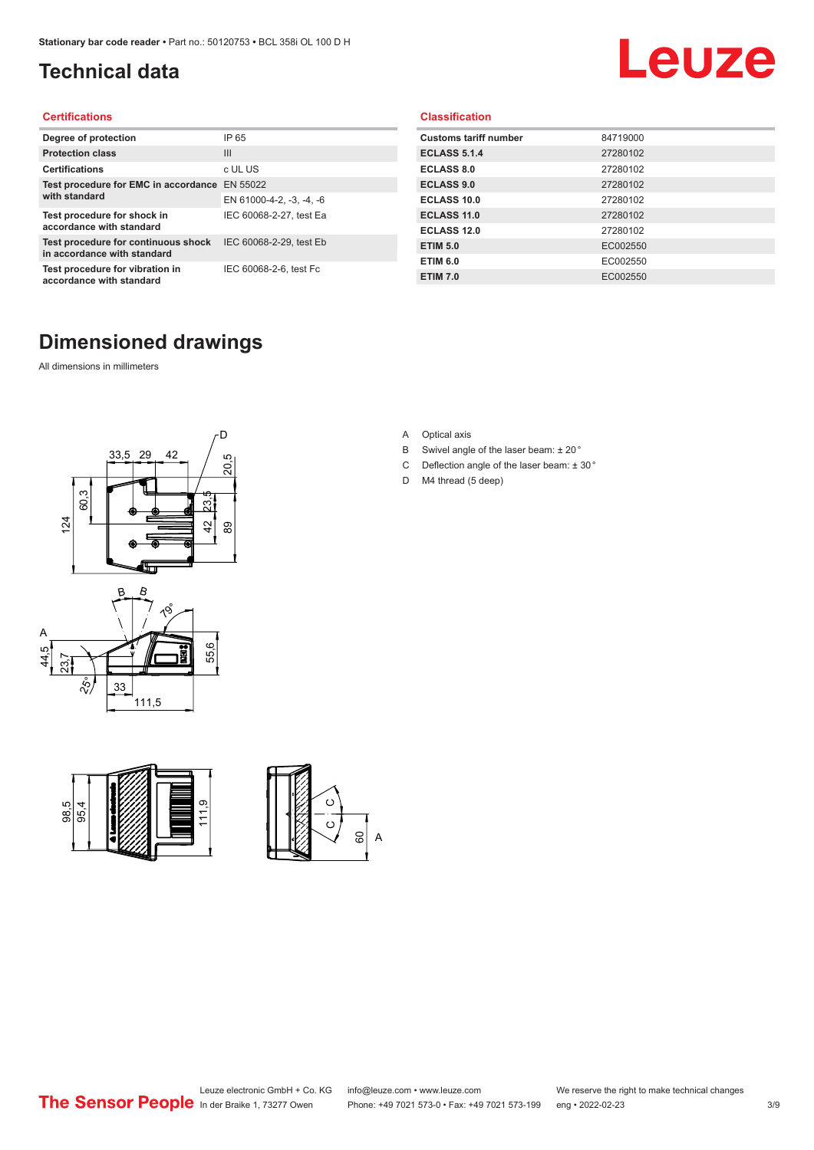## <span id="page-2-0"></span>**Technical data**

# Leuze

### **Certifications**

| Degree of protection                                               | IP 65                    |
|--------------------------------------------------------------------|--------------------------|
| <b>Protection class</b>                                            | $\mathbf{III}$           |
| <b>Certifications</b>                                              | c UL US                  |
| Test procedure for EMC in accordance                               | EN 55022                 |
| with standard                                                      | EN 61000-4-2, -3, -4, -6 |
| Test procedure for shock in<br>accordance with standard            | IEC 60068-2-27, test Ea  |
| Test procedure for continuous shock<br>in accordance with standard | IEC 60068-2-29, test Eb  |
| Test procedure for vibration in<br>accordance with standard        | IEC 60068-2-6, test Fc   |

#### **Classification**

| <b>Customs tariff number</b> | 84719000 |
|------------------------------|----------|
| <b>ECLASS 5.1.4</b>          | 27280102 |
| <b>ECLASS 8.0</b>            | 27280102 |
| <b>ECLASS 9.0</b>            | 27280102 |
| ECLASS 10.0                  | 27280102 |
| <b>ECLASS 11.0</b>           | 27280102 |
| ECLASS 12.0                  | 27280102 |
| <b>ETIM 5.0</b>              | EC002550 |
| <b>ETIM 6.0</b>              | EC002550 |
| <b>ETIM 7.0</b>              | EC002550 |

## **Dimensioned drawings**

All dimensions in millimeters









- B Swivel angle of the laser beam: ± 20 °
- C Deflection angle of the laser beam:  $\pm$  30 $^{\circ}$
- D M4 thread (5 deep)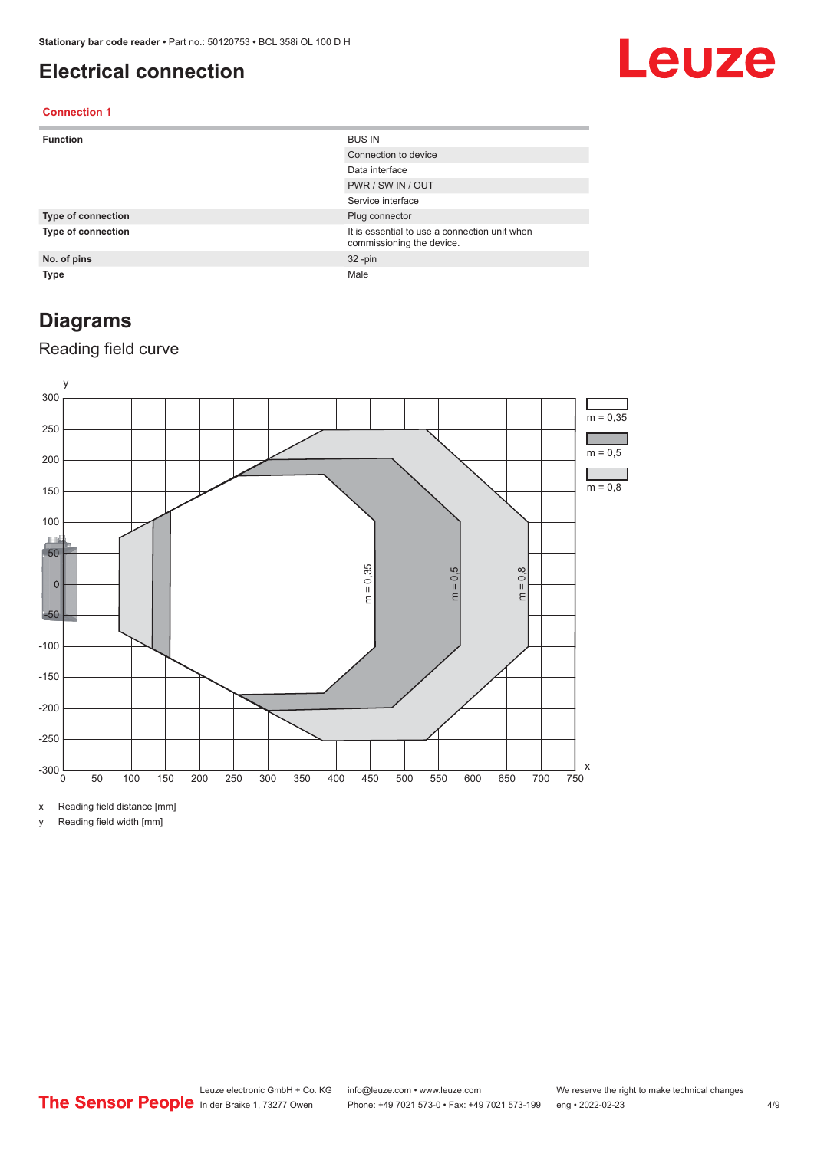## <span id="page-3-0"></span>**Electrical connection**

# Leuze

### **Connection 1**

| <b>Function</b>           | <b>BUS IN</b>                                                              |
|---------------------------|----------------------------------------------------------------------------|
|                           | Connection to device                                                       |
|                           | Data interface                                                             |
|                           | PWR / SW IN / OUT                                                          |
|                           | Service interface                                                          |
| <b>Type of connection</b> | Plug connector                                                             |
| <b>Type of connection</b> | It is essential to use a connection unit when<br>commissioning the device. |
| No. of pins               | $32 - pin$                                                                 |
| Type                      | Male                                                                       |

## **Diagrams**

### Reading field curve



x Reading field distance [mm]

y Reading field width [mm]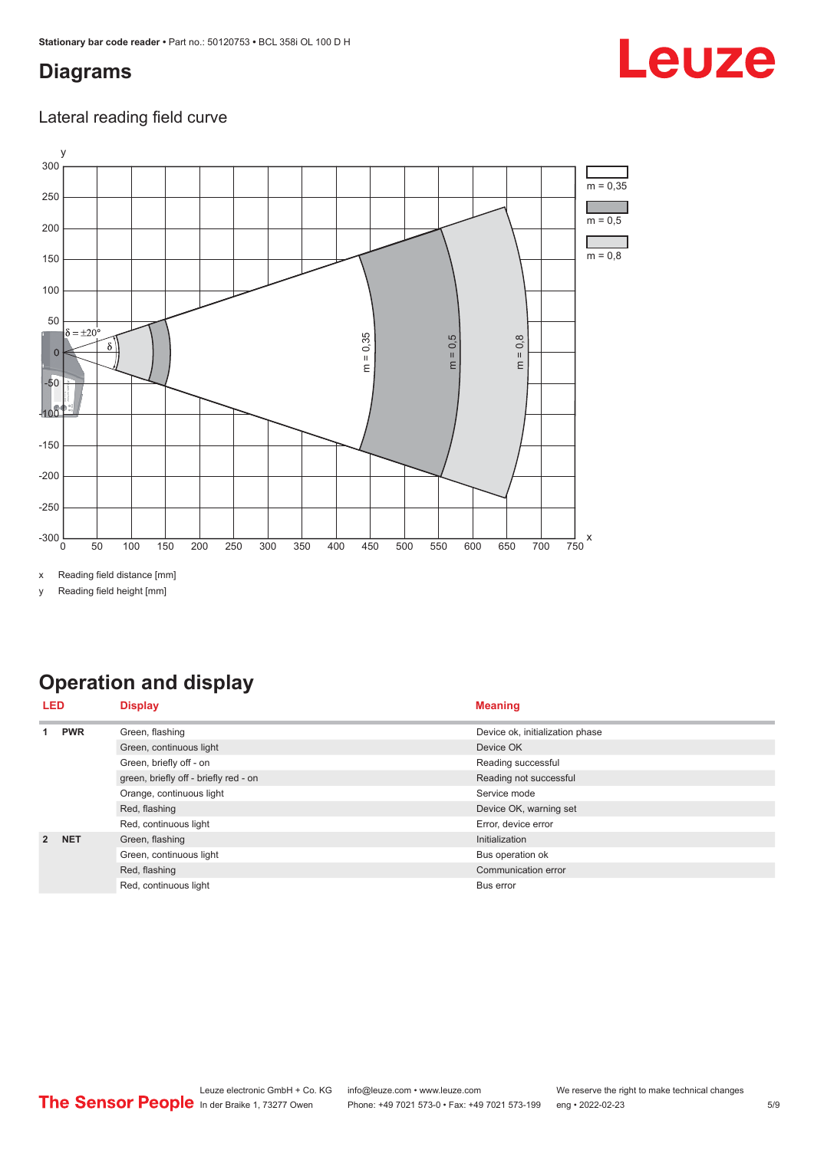## <span id="page-4-0"></span>**Diagrams**

# Leuze

### Lateral reading field curve



x Reading field distance [mm]

y Reading field height [mm]

## **Operation and display**

| LED            |            | <b>Display</b>                        | <b>Meaning</b>                  |  |
|----------------|------------|---------------------------------------|---------------------------------|--|
|                | <b>PWR</b> | Green, flashing                       | Device ok, initialization phase |  |
|                |            | Green, continuous light               | Device OK                       |  |
|                |            | Green, briefly off - on               | Reading successful              |  |
|                |            | green, briefly off - briefly red - on | Reading not successful          |  |
|                |            | Orange, continuous light              | Service mode                    |  |
|                |            | Red, flashing                         | Device OK, warning set          |  |
|                |            | Red, continuous light                 | Error, device error             |  |
| $\overline{2}$ | <b>NET</b> | Green, flashing                       | Initialization                  |  |
|                |            | Green, continuous light               | Bus operation ok                |  |
|                |            | Red, flashing                         | Communication error             |  |
|                |            | Red, continuous light                 | Bus error                       |  |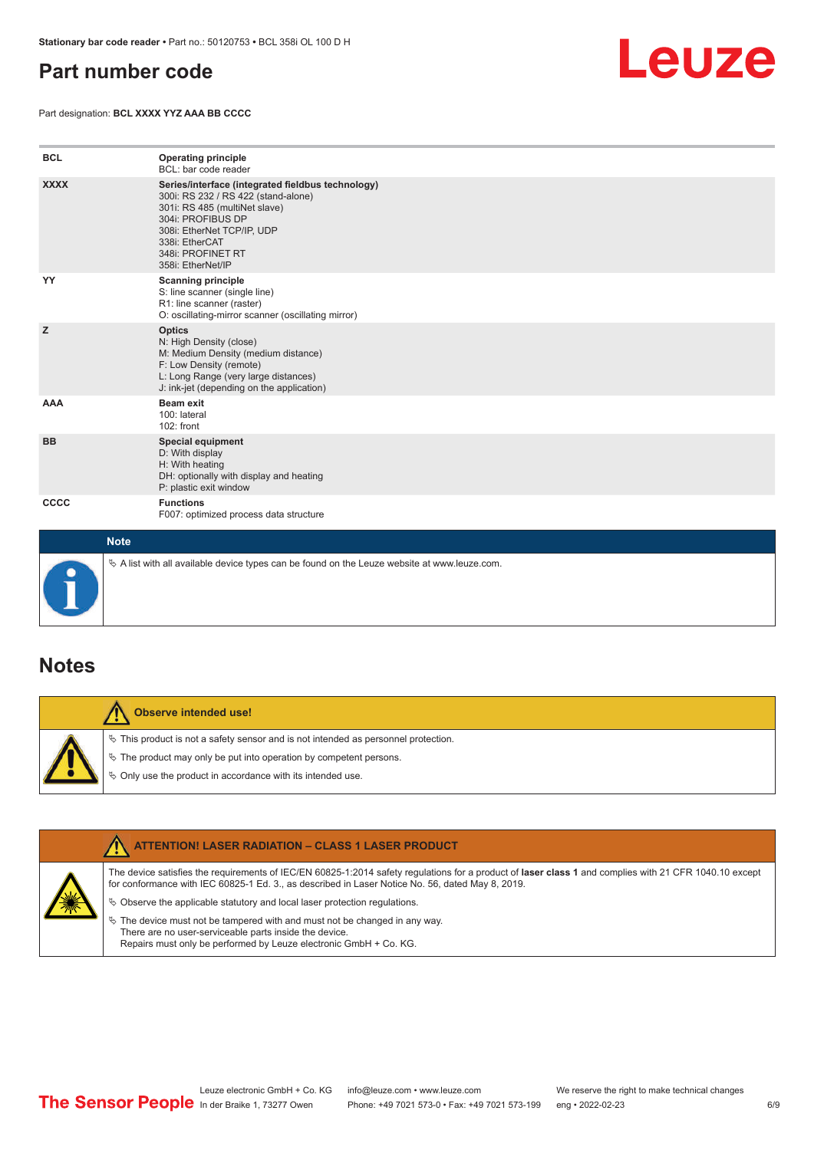## <span id="page-5-0"></span>**Part number code**

Part designation: **BCL XXXX YYZ AAA BB CCCC**



| <b>BCL</b>  | <b>Operating principle</b><br>BCL: bar code reader                                                                                                                                                                                       |
|-------------|------------------------------------------------------------------------------------------------------------------------------------------------------------------------------------------------------------------------------------------|
| <b>XXXX</b> | Series/interface (integrated fieldbus technology)<br>300i: RS 232 / RS 422 (stand-alone)<br>301i: RS 485 (multiNet slave)<br>304i: PROFIBUS DP<br>308i: EtherNet TCP/IP, UDP<br>338i: EtherCAT<br>348i: PROFINET RT<br>358i: EtherNet/IP |
| YY          | <b>Scanning principle</b><br>S: line scanner (single line)<br>R1: line scanner (raster)<br>O: oscillating-mirror scanner (oscillating mirror)                                                                                            |
| z           | <b>Optics</b><br>N: High Density (close)<br>M: Medium Density (medium distance)<br>F: Low Density (remote)<br>L: Long Range (very large distances)<br>J: ink-jet (depending on the application)                                          |
| <b>AAA</b>  | Beam exit<br>100: lateral<br>102: front                                                                                                                                                                                                  |
| <b>BB</b>   | <b>Special equipment</b><br>D: With display<br>H: With heating<br>DH: optionally with display and heating<br>P: plastic exit window                                                                                                      |
| <b>CCCC</b> | <b>Functions</b><br>F007: optimized process data structure                                                                                                                                                                               |
| <b>Note</b> |                                                                                                                                                                                                                                          |



 $\%$  A list with all available device types can be found on the Leuze website at www.leuze.com.

### **Notes**

**Observe intended use!** Λ  $\%$  This product is not a safety sensor and is not intended as personnel protection.  $\%$  The product may only be put into operation by competent persons.  $\%$  Only use the product in accordance with its intended use.

|  | <b>ATTENTION! LASER RADIATION - CLASS 1 LASER PRODUCT</b>                                                                                                                                                                                                  |
|--|------------------------------------------------------------------------------------------------------------------------------------------------------------------------------------------------------------------------------------------------------------|
|  | The device satisfies the requirements of IEC/EN 60825-1:2014 safety requlations for a product of laser class 1 and complies with 21 CFR 1040.10 except<br>for conformance with IEC 60825-1 Ed. 3., as described in Laser Notice No. 56, dated May 8, 2019. |
|  | $\%$ Observe the applicable statutory and local laser protection regulations.                                                                                                                                                                              |
|  | $\%$ The device must not be tampered with and must not be changed in any way.<br>There are no user-serviceable parts inside the device.<br>Repairs must only be performed by Leuze electronic GmbH + Co. KG.                                               |
|  |                                                                                                                                                                                                                                                            |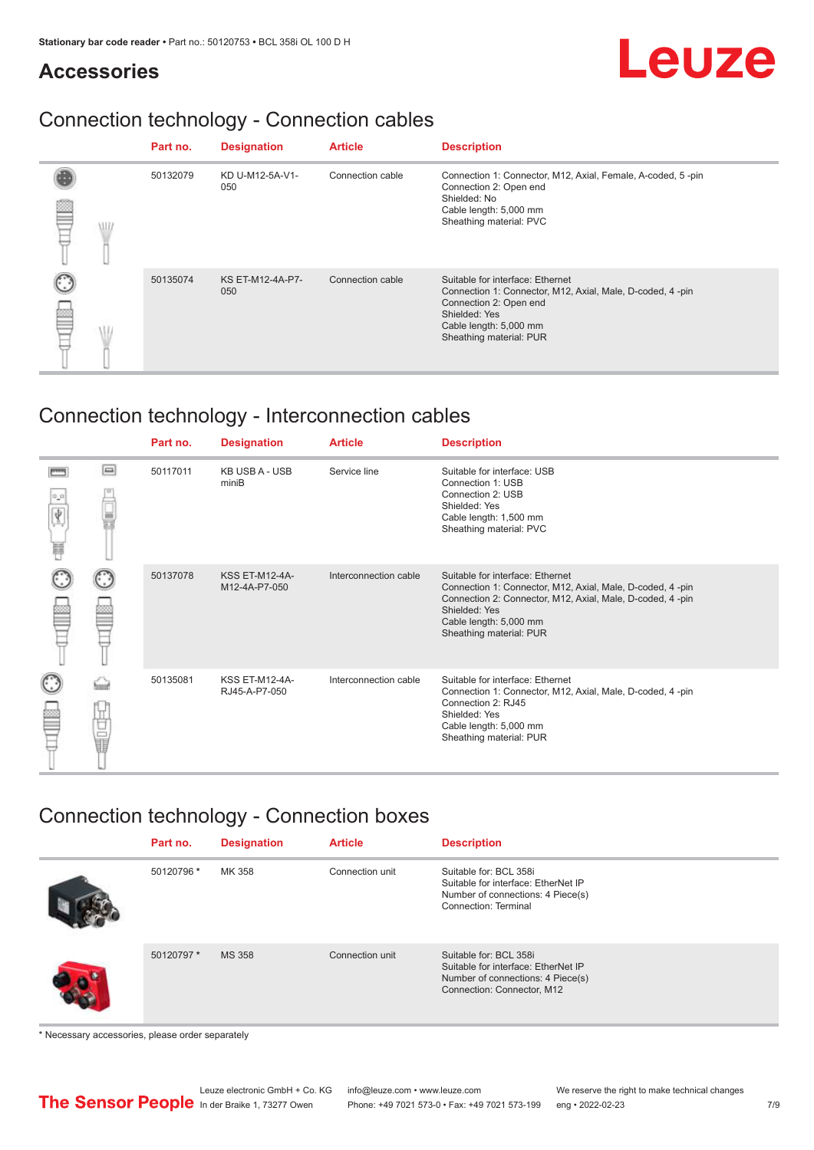# Leuze

## **Accessories**

## Connection technology - Connection cables

|  | Part no. | <b>Designation</b>             | <b>Article</b>   | <b>Description</b>                                                                                                                                                                            |
|--|----------|--------------------------------|------------------|-----------------------------------------------------------------------------------------------------------------------------------------------------------------------------------------------|
|  | 50132079 | KD U-M12-5A-V1-<br>050         | Connection cable | Connection 1: Connector, M12, Axial, Female, A-coded, 5-pin<br>Connection 2: Open end<br>Shielded: No<br>Cable length: 5,000 mm<br>Sheathing material: PVC                                    |
|  | 50135074 | <b>KS ET-M12-4A-P7-</b><br>050 | Connection cable | Suitable for interface: Ethernet<br>Connection 1: Connector, M12, Axial, Male, D-coded, 4-pin<br>Connection 2: Open end<br>Shielded: Yes<br>Cable length: 5,000 mm<br>Sheathing material: PUR |

## Connection technology - Interconnection cables

|   |     | Part no. | <b>Designation</b>                     | <b>Article</b>        | <b>Description</b>                                                                                                                                                                                                               |
|---|-----|----------|----------------------------------------|-----------------------|----------------------------------------------------------------------------------------------------------------------------------------------------------------------------------------------------------------------------------|
| Ħ | e   | 50117011 | <b>KB USB A - USB</b><br>miniB         | Service line          | Suitable for interface: USB<br>Connection 1: USB<br>Connection 2: USB<br>Shielded: Yes<br>Cable length: 1,500 mm<br>Sheathing material: PVC                                                                                      |
|   |     | 50137078 | <b>KSS ET-M12-4A-</b><br>M12-4A-P7-050 | Interconnection cable | Suitable for interface: Ethernet<br>Connection 1: Connector, M12, Axial, Male, D-coded, 4-pin<br>Connection 2: Connector, M12, Axial, Male, D-coded, 4-pin<br>Shielded: Yes<br>Cable length: 5,000 mm<br>Sheathing material: PUR |
|   | the | 50135081 | <b>KSS ET-M12-4A-</b><br>RJ45-A-P7-050 | Interconnection cable | Suitable for interface: Ethernet<br>Connection 1: Connector, M12, Axial, Male, D-coded, 4-pin<br>Connection 2: RJ45<br>Shielded: Yes<br>Cable length: 5,000 mm<br>Sheathing material: PUR                                        |

## Connection technology - Connection boxes

| Part no.   | <b>Designation</b> | <b>Article</b>  | <b>Description</b>                                                                                                               |
|------------|--------------------|-----------------|----------------------------------------------------------------------------------------------------------------------------------|
| 50120796 * | MK 358             | Connection unit | Suitable for: BCL 358i<br>Suitable for interface: EtherNet IP<br>Number of connections: 4 Piece(s)<br>Connection: Terminal       |
| 50120797 * | <b>MS 358</b>      | Connection unit | Suitable for: BCL 358i<br>Suitable for interface: EtherNet IP<br>Number of connections: 4 Piece(s)<br>Connection: Connector, M12 |

\* Necessary accessories, please order separately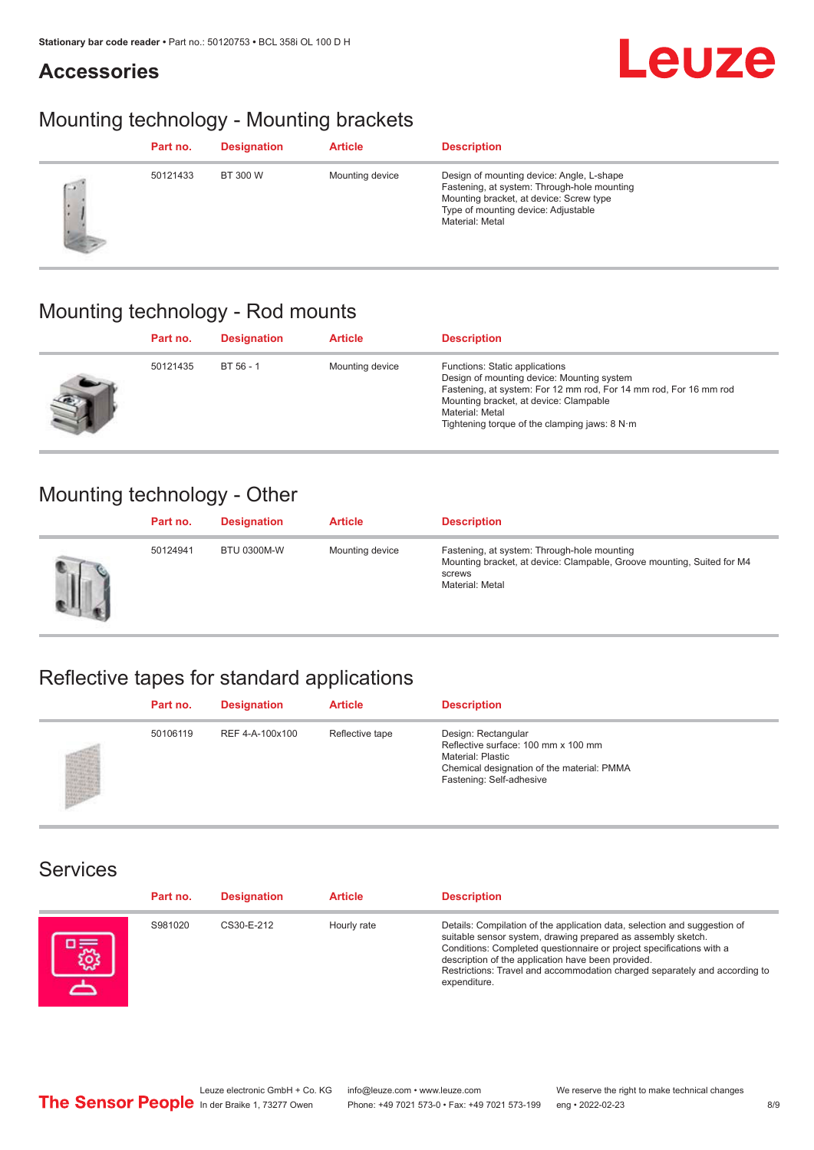## **Accessories**

# **Leuze**

## Mounting technology - Mounting brackets

|      | Part no. | <b>Designation</b> | <b>Article</b>  | <b>Description</b>                                                                                                                                                                            |
|------|----------|--------------------|-----------------|-----------------------------------------------------------------------------------------------------------------------------------------------------------------------------------------------|
| $-1$ | 50121433 | BT 300 W           | Mounting device | Design of mounting device: Angle, L-shape<br>Fastening, at system: Through-hole mounting<br>Mounting bracket, at device: Screw type<br>Type of mounting device: Adjustable<br>Material: Metal |

## Mounting technology - Rod mounts

| Part no. | <b>Designation</b> | <b>Article</b>  | <b>Description</b>                                                                                                                                                                                                                                                |
|----------|--------------------|-----------------|-------------------------------------------------------------------------------------------------------------------------------------------------------------------------------------------------------------------------------------------------------------------|
| 50121435 | BT 56 - 1          | Mounting device | Functions: Static applications<br>Design of mounting device: Mounting system<br>Fastening, at system: For 12 mm rod, For 14 mm rod, For 16 mm rod<br>Mounting bracket, at device: Clampable<br>Material: Metal<br>Tightening torque of the clamping jaws: $8 N·m$ |

## Mounting technology - Other

|   | Part no. | <b>Designation</b> | <b>Article</b>  | <b>Description</b>                                                                                                                                 |
|---|----------|--------------------|-----------------|----------------------------------------------------------------------------------------------------------------------------------------------------|
| Ш | 50124941 | <b>BTU 0300M-W</b> | Mounting device | Fastening, at system: Through-hole mounting<br>Mounting bracket, at device: Clampable, Groove mounting, Suited for M4<br>screws<br>Material: Metal |

## Reflective tapes for standard applications

| Part no. | <b>Designation</b> | <b>Article</b>  | <b>Description</b>                                                                                                                                               |
|----------|--------------------|-----------------|------------------------------------------------------------------------------------------------------------------------------------------------------------------|
| 50106119 | REF 4-A-100x100    | Reflective tape | Design: Rectangular<br>Reflective surface: 100 mm x 100 mm<br><b>Material: Plastic</b><br>Chemical designation of the material: PMMA<br>Fastening: Self-adhesive |

### Services

| Part no. | <b>Designation</b> | <b>Article</b> | <b>Description</b>                                                                                                                                                                                                                                                                                                                                                    |
|----------|--------------------|----------------|-----------------------------------------------------------------------------------------------------------------------------------------------------------------------------------------------------------------------------------------------------------------------------------------------------------------------------------------------------------------------|
| S981020  | CS30-E-212         | Hourly rate    | Details: Compilation of the application data, selection and suggestion of<br>suitable sensor system, drawing prepared as assembly sketch.<br>Conditions: Completed questionnaire or project specifications with a<br>description of the application have been provided.<br>Restrictions: Travel and accommodation charged separately and according to<br>expenditure. |